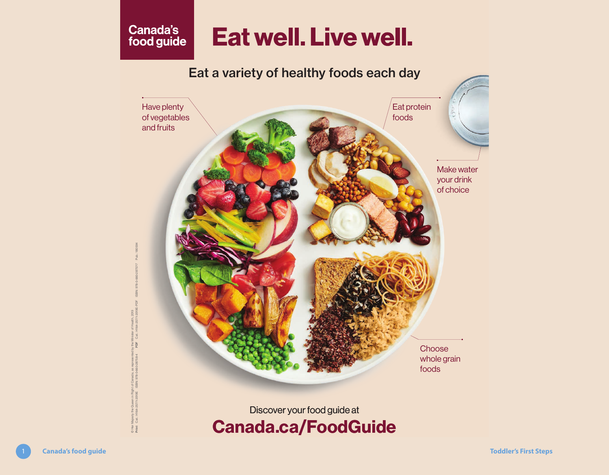# **Canada's Eat well. Live well.**



# Discover your food guide at Canada.ca/FoodGuide

ISBN: /linister of Health, 2019<br>Cat.: H164-257/1-2019E-PDF © Her Majesty the Queen in Right of Canada, as represented by the Minister of Health, 2019 ׆֦֦֧֦֧֞<sup>֥</sup> © Her Majesty the Queen in Right of Ca<br>Print Cat.: H164-257/1-2019E ISBN: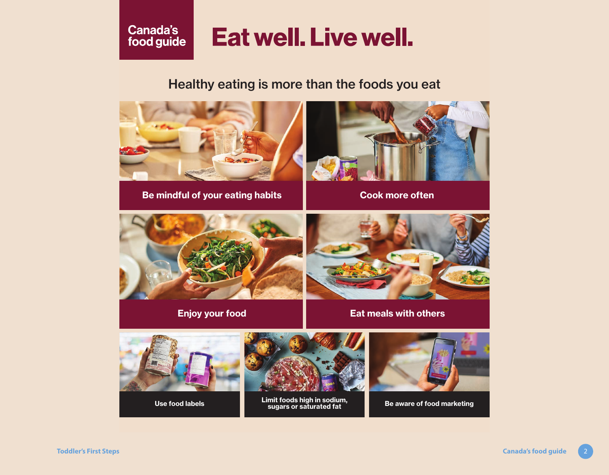## Canada's food guide

# **Eat well. Live well.**

## [Healthy eating is more than the foods you eat](https://food-guide.canada.ca/en/)